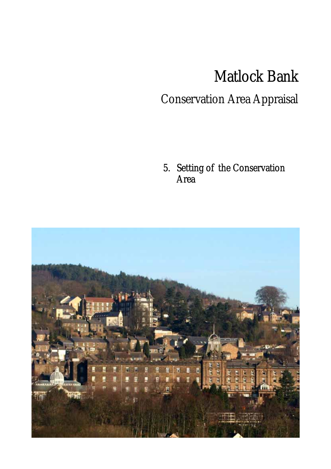## Matlock Bank

## Conservation Area Appraisal

5. Setting of the Conservation Area

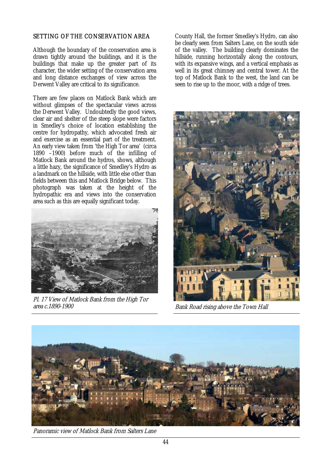## SETTING OF THE CONSERVATION AREA

Although the boundary of the conservation area is drawn tightly around the buildings, and it is the buildings that make up the greater part of its character, the wider setting of the conservation area and long distance exchanges of view across the Derwent Valley are critical to its significance.

There are few places on Matlock Bank which are without glimpses of the spectacular views across the Derwent Valley. Undoubtedly the good views, clear air and shelter of the steep slope were factors in Smedley's choice of location establishing the centre for hydropathy, which advocated fresh air and exercise as an essential part of the treatment. An early view taken from 'the High Tor area' (circa 1890 –1900) before much of the infilling of Matlock Bank around the hydros, shows, although a little hazy, the significance of Smedley's Hydro as a landmark on the hillside, with little else other than fields between this and Matlock Bridge below. This photograph was taken at the height of the hydropathic era and views into the conservation area such as this are equally significant today.



Pl. 17 View of Matlock Bank from the High Tor area c.1890-1900

County Hall, the former Smedley's Hydro, can also be clearly seen from Salters Lane, on the south side of the valley. The building clearly dominates the hillside, running horizontally along the contours, with its expansive wings, and a vertical emphasis as well in its great chimney and central tower. At the top of Matlock Bank to the west, the land can be seen to rise up to the moor, with a ridge of trees.



Bank Road rising above the Town Hall



Panoramic view of Matlock Bank from Salters Lane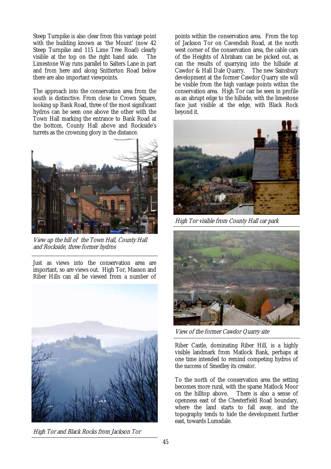Steep Turnpike is also clear from this vantage point with the building known as 'the Mount' (now 42 Steep Turnpike and 115 Lime Tree Road) clearly visible at the top on the right hand side. The Limestone Way runs parallel to Salters Lane in part and from here and along Snitterton Road below there are also important viewpoints.

The approach into the conservation area from the south is distinctive. From close to Crown Square, looking up Bank Road, three of the most significant hydros can be seen one above the other with the Town Hall marking the entrance to Bank Road at the bottom, County Hall above and Rockside's turrets as the crowning glory in the distance.



View up the hill of the Town Hall, County Hall and Rockside, three former hydros

Just as views into the conservation area are important, so are views out. High Tor, Masson and Riber Hills can all be viewed from a number of



High Tor and Black Rocks from Jackson Tor

points within the conservation area. From the top of Jackson Tor on Cavendish Road, at the north west corner of the conservation area, the cable cars of the Heights of Abraham can be picked out, as can the results of quarrying into the hillside at Cawdor & Hall Dale Quarry. The new Sainsbury development at the former Cawdor Quarry site will be visible from the high vantage points within the conservation area. High Tor can be seen in profile as an abrupt edge to the hillside, with the limestone face just visible at the edge, with Black Rock beyond it.



High Tor visible from County Hall car park



View of the former Cawdor Quarry site

Riber Castle, dominating Riber Hill, is a highly visible landmark from Matlock Bank, perhaps at one time intended to remind competing hydros of the success of Smedley its creator.

To the north of the conservation area the setting becomes more rural, with the sparse Matlock Moor on the hilltop above. There is also a sense of openness east of the Chesterfield Road boundary, where the land starts to fall away, and the topography tends to hide the development further east, towards Lumsdale.